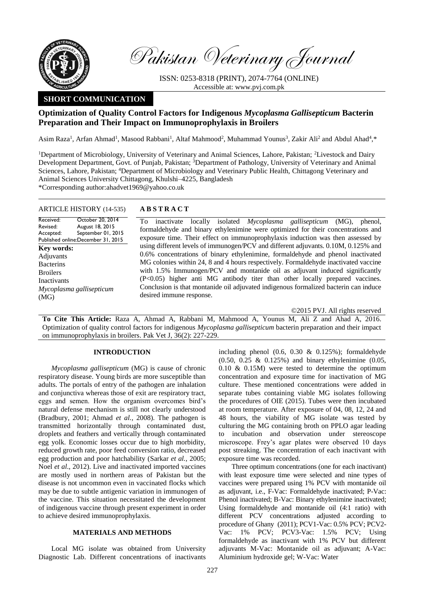

Pakistan Veterinary Journal

ISSN: 0253-8318 (PRINT), 2074-7764 (ONLINE) Accessible at: [www.pvj.com.pk](http://www.pvj.com.pk/)

# **SHORT COMMUNICATION**

## **Optimization of Quality Control Factors for Indigenous** *Mycoplasma Gallisepticum* **Bacterin Preparation and Their Impact on Immunoprophylaxis in Broilers**

Asim Raza<sup>1</sup>, Arfan Ahmad<sup>1</sup>, Masood Rabbani<sup>1</sup>, Altaf Mahmood<sup>2</sup>, Muhammad Younus<sup>3</sup>, Zakir Ali<sup>2</sup> and Abdul Ahad<sup>4</sup>,\*

<sup>1</sup>Department of Microbiology, University of Veterinary and Animal Sciences, Lahore, Pakistan; <sup>2</sup>Livestock and Dairy Development Department, Govt. of Punjab, Pakistan; <sup>3</sup>Department of Pathology, University of Veterinary and Animal Sciences, Lahore, Pakistan; <sup>4</sup>Department of Microbiology and Veterinary Public Health, Chittagong Veterinary and Animal Sciences University Chittagong, Khulshi–4225, Bangladesh

\*Corresponding author:ahadvet1969@yahoo.co.uk

## ARTICLE HISTORY (14-535) **A B S T R A C T**

#### Received: Revised: Accepted: Published online: December 31, 2015 October 20, 2014 August 18, 2015 September 01, 2015 **Key words:**  Adjuvants **Bacterins** Broilers Inactivants *Mycoplasma gallisepticum* (MG)

To inactivate locally isolated *Mycoplasma gallisepticum* (MG), phenol, formaldehyde and binary ethylenimine were optimized for their concentrations and exposure time. Their effect on immunoprophylaxis induction was then assessed by using different levels of immunogen/PCV and different adjuvants. 0.10M, 0.125% and 0.6% concentrations of binary ethylenimine, formaldehyde and phenol inactivated MG colonies within 24, 8 and 4 hours respectively. Formaldehyde inactivated vaccine with 1.5% Immunogen/PCV and montanide oil as adjuvant induced significantly (P<0.05) higher anti MG antibody titer than other locally prepared vaccines. Conclusion is that montanide oil adjuvated indigenous formalized bacterin can induce desired immune response.

©2015 PVJ. All rights reserved

**To Cite This Article:** Raza A, Ahmad A, Rabbani M, Mahmood A, Younus M, Ali Z and Ahad A, 2016. Optimization of quality control factors for indigenous *Mycoplasma gallisepticum* bacterin preparation and their impact on immunoprophylaxis in broilers. Pak Vet J, 36(2): 227-229.

### **INTRODUCTION**

*Mycoplasma gallisepticum* (MG) is cause of chronic respiratory disease. Young birds are more susceptible than adults. The portals of entry of the pathogen are inhalation and conjunctiva whereas those of exit are respiratory tract, eggs and semen. How the organism overcomes bird's natural defense mechanism is still not clearly understood (Bradbury, 2001; Ahmad *et al.,* 2008). The pathogen is transmitted horizontally through contaminated dust, droplets and feathers and vertically through contaminated egg yolk. Economic losses occur due to high morbidity, reduced growth rate, poor feed conversion ratio, decreased egg production and poor hatchability (Sarkar *et al.,* 2005; Noel *et al*., 2012). Live and inactivated imported vaccines are mostly used in northern areas of Pakistan but the disease is not uncommon even in vaccinated flocks which may be due to subtle antigenic variation in immunogen of the vaccine. This situation necessitated the development of indigenous vaccine through present experiment in order to achieve desired immunoprophylaxis.

#### **MATERIALS AND METHODS**

Local MG isolate was obtained from University Diagnostic Lab. Different concentrations of inactivants

including phenol (0.6, 0.30 & 0.125%); formaldehyde (0.50, 0.25 & 0.125%) and binary ethylenimine (0.05, 0.10 & 0.15M) were tested to determine the optimum concentration and exposure time for inactivation of MG culture. These mentioned concentrations were added in separate tubes containing viable MG isolates following the procedures of OIE (2015). Tubes were then incubated at room temperature. After exposure of 04, 08, 12, 24 and 48 hours, the viability of MG isolate was tested by culturing the MG containing broth on PPLO agar leading to incubation and observation under stereoscope microscope. Frey's agar plates were observed 10 days post streaking. The concentration of each inactivant with exposure time was recorded.

Three optimum concentrations (one for each inactivant) with least exposure time were selected and nine types of vaccines were prepared using 1% PCV with montanide oil as adjuvant, i.e., F-Vac: Formaldehyde inactivated; P-Vac: Phenol inactivated; B-Vac: Binary ethylenimine inactivated; Using formaldehyde and montanide oil (4:1 ratio) with different PCV concentrations adjusted according to procedure of Ghany (2011); PCV1-Vac: 0.5% PCV; PCV2- Vac: 1% PCV; PCV3-Vac: 1.5% PCV; Using formaldehyde as inactivant with 1% PCV but different adjuvants M-Vac: Montanide oil as adjuvant; A-Vac: Aluminium hydroxide gel; W-Vac: Water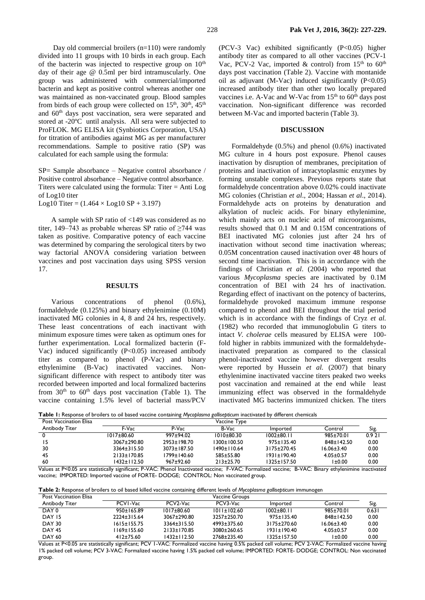Day old commercial broilers (n=110) were randomly divided into 11 groups with 10 birds in each group. Each of the bacterin was injected to respective group on  $10<sup>th</sup>$ day of their age @ 0.5ml per bird intramuscularly. One group was administered with commercial/imported bacterin and kept as positive control whereas another one was maintained as non-vaccinated group. Blood samples from birds of each group were collected on  $15<sup>th</sup>$ ,  $30<sup>th</sup>$ ,  $45<sup>th</sup>$ and 60th days post vaccination, sera were separated and stored at -20ºC until analysis. All sera were subjected to ProFLOK. MG ELISA kit (Synbiotics Corporation, USA) for titration of antibodies against MG as per manufacturer recommendations. Sample to positive ratio (SP) was calculated for each sample using the formula:

SP= Sample absorbance – Negative control absorbance / Positive control absorbance – Negative control absorbance. Titers were calculated using the formula: Titer = Anti Log of Log10 titer

Log10 Titer =  $(1.464 \times \text{Log}10 \text{ SP} + 3.197)$ 

A sample with SP ratio of <149 was considered as no titer, 149–743 as probable whereas SP ratio of  $\geq$ 744 was taken as positive. Comparative potency of each vaccine was determined by comparing the serological titers by two way factorial ANOVA considering variation between vaccines and post vaccination days using SPSS version 17.

#### **RESULTS**

Various concentrations of phenol (0.6%), formaldehyde (0.125%) and binary ethylenimine (0.10M) inactivated MG colonies in 4, 8 and 24 hrs, respectively. These least concentrations of each inactivant with minimum exposure times were taken as optimum ones for further experimentation. Local formalized bacterin (F-Vac) induced significantly (P<0.05) increased antibody titer as compared to phenol (P-Vac) and binary ethylenimine (B-Vac) inactivated vaccines. Nonsignificant difference with respect to antibody titer was recorded between imported and local formalized bacterins from  $30<sup>th</sup>$  to  $60<sup>th</sup>$  days post vaccination (Table 1). The vaccine containing 1.5% level of bacterial mass/PCV

 $(PCV-3$  Vac) exhibited significantly  $(P<0.05)$  higher antibody titer as compared to all other vaccines (PCV-1 Vac, PCV-2 Vac, imported & control) from  $15<sup>th</sup>$  to  $60<sup>th</sup>$ days post vaccination (Table 2). Vaccine with montanide oil as adjuvant (M-Vac) induced significantly  $(P<0.05)$ increased antibody titer than other two locally prepared vaccines i.e. A-Vac and W-Vac from  $15<sup>th</sup>$  to  $60<sup>th</sup>$  days post vaccination. Non-significant difference was recorded between M-Vac and imported bacterin (Table 3).

## **DISCUSSION**

Formaldehyde (0.5%) and phenol (0.6%) inactivated MG culture in 4 hours post exposure. Phenol causes inactivation by disruption of membranes, precipitation of proteins and inactivation of intracytoplasmic enzymes by forming unstable complexes. Previous reports state that formaldehyde concentration above 0.02% could inactivate MG colonies (Christian *et al*., 2004; Hassan *et al*., 2014). Formaldehyde acts on proteins by denaturation and alkylation of nucleic acids. For binary ethylenimine, which mainly acts on nucleic acid of microorganisms, results showed that 0.1 M and 0.15M concentrations of BEI inactivated MG colonies just after 24 hrs of inactivation without second time inactivation whereas; 0.05M concentration caused inactivation over 48 hours of second time inactivation. This is in accordance with the findings of Christian *et al*. (2004) who reported that various *Mycoplasma* species are inactivated by 0.1M concentration of BEI with 24 hrs of inactivation. Regarding effect of inactivant on the potency of bacterins, formaldehyde provoked maximum immune response compared to phenol and BEI throughout the trial period which is in accordance with the findings of Cryz *et al.* (1982) who recorded that immunoglobulin G titers to intact *V. cholerae* cells measured by ELISA were 100 fold higher in rabbits immunized with the formaldehydeinactivated preparation as compared to the classical phenol-inactivated vaccine however divergent results were reported by Hussein *et al.* (2007) that binary ethylenimine inactivated vaccine titers peaked two weeks post vaccination and remained at the end while least immunizing effect was observed in the formaldehyde inactivated MG bacterins immunized chicken. The titers

**Table 1:** Response of broilers to oil based vaccine containing *Mycoplasma gallisepticum* inactivated by different chemicals

| <b>Post Vaccination Elisa</b> | .<br>Vaccine Type |                   |                  |                   |                  |       |
|-------------------------------|-------------------|-------------------|------------------|-------------------|------------------|-------|
| Antibody Titer                | F-Vac             | P-Vac             | B-Vac            | Imported          | Control          | Sig.  |
|                               | 1017±80.60        | 997±94.02         | $1010 \pm 80.30$ | $1002 \pm 80.11$  | 985±70.01        | 0.921 |
|                               | 3067±290.80       | 2953±198.70       | 1300±100.50      | $975 \pm 135.40$  | $848 \pm 142.50$ | 0.00  |
| 30                            | 3364±315.50       | $3073 \pm 187.50$ | 1490±110.64      | 3175±270.45       | $16.06 \pm 3.40$ | 0.00  |
| 45                            | 2133±170.85       | 1799±140.60       | 585±55.80        | $1931 \pm 190.40$ | $4.05 \pm 0.57$  | 0.00  |
| 60                            | 1432±112.50       | 967±92.60         | $213 \pm 25.70$  | 1325±157.50       | 1±0.00           | 0.00  |

Values at P<0.05 are statistically significant; P-VAC: Phenol Inactivated vaccine; F-VAC: Formalized vaccine; B-VAC: Binary ethylenimine inactivated vaccine; IMPORTED: Imported vaccine of FORTE- DODGE; CONTROL: Non vaccinated group.

|                | Table 2: Response of broilers to oil based killed vaccine containing different levels of Mycoplasma gallisepticum immunogen |
|----------------|-----------------------------------------------------------------------------------------------------------------------------|
| $\blacksquare$ |                                                                                                                             |

| <b>Post Vaccination Elisa</b> | Vaccine Groups    |                                   |                   |                   |                  |       |
|-------------------------------|-------------------|-----------------------------------|-------------------|-------------------|------------------|-------|
| <b>Antibody Titer</b>         | PCVI-Vac          | PCV <sub>2</sub> -V <sub>ac</sub> | PCV3-Vac          | Imported          | Control          | Sig.  |
| DAY 0                         | $950 \pm 165.89$  | $1017\pm80.60$                    | $1011 \pm 102.60$ | $1002 \pm 80.11$  | 985±70.01        | 0.631 |
| <b>DAY 15</b>                 | 2224±315.64       | 3067±290.80                       | 3257+250.70       | 975+135.40        | 848±142.50       | 0.00  |
| <b>DAY 30</b>                 | $1615 \pm 155.75$ | 3364±315.50                       | 4993±375.60       | 3175±270.60       | $16.06 \pm 3.40$ | 0.00  |
| DAY <sub>45</sub>             | 1169±155.60       | $2133 \pm 170.85$                 | 3080±260.65       | $1931 \pm 190.40$ | $4.05 \pm 0.57$  | 0.00  |
| <b>DAY 60</b>                 | $412 \pm 75.60$   | 1432±112.50                       | 2768±235.40       | 1325±157.50       | 1 ± 0.00         | 0.00  |

Values at P<0.05 are statistically significant; PCV 1-VAC: Formalized vaccine having 0.5% packed cell volume; PCV 2-VAC: Formalized vaccine having 1% packed cell volume; PCV 3-VAC: Formalized vaccine having 1.5% packed cell volume; IMPORTED: FORTE- DODGE; CONTROL: Non vaccinated group.